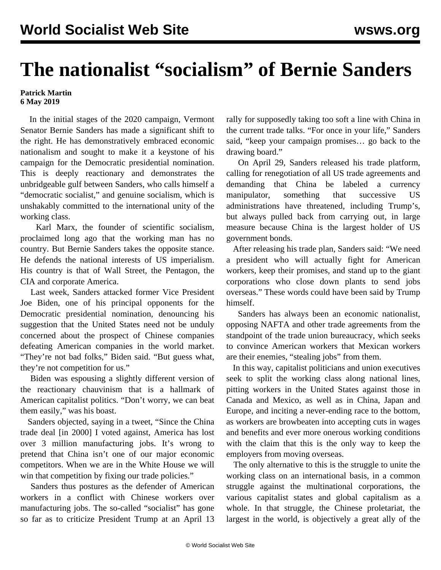## **The nationalist "socialism" of Bernie Sanders**

## **Patrick Martin 6 May 2019**

 In the initial stages of the 2020 campaign, Vermont Senator Bernie Sanders has made a significant shift to the right. He has demonstratively embraced economic nationalism and sought to make it a keystone of his campaign for the Democratic presidential nomination. This is deeply reactionary and demonstrates the unbridgeable gulf between Sanders, who calls himself a "democratic socialist," and genuine socialism, which is unshakably committed to the international unity of the working class.

 Karl Marx, the founder of scientific socialism, proclaimed long ago that the working man has no country. But Bernie Sanders takes the opposite stance. He defends the national interests of US imperialism. His country is that of Wall Street, the Pentagon, the CIA and corporate America.

 Last week, Sanders attacked former Vice President Joe Biden, one of his principal opponents for the Democratic presidential nomination, denouncing his suggestion that the United States need not be unduly concerned about the prospect of Chinese companies defeating American companies in the world market. "They're not bad folks," Biden said. "But guess what, they're not competition for us."

 Biden was espousing a slightly different version of the reactionary chauvinism that is a hallmark of American capitalist politics. "Don't worry, we can beat them easily," was his boast.

 Sanders objected, saying in a tweet, "Since the China trade deal [in 2000] I voted against, America has lost over 3 million manufacturing jobs. It's wrong to pretend that China isn't one of our major economic competitors. When we are in the White House we will win that competition by fixing our trade policies."

 Sanders thus postures as the defender of American workers in a conflict with Chinese workers over manufacturing jobs. The so-called "socialist" has gone so far as to criticize President Trump at an April 13

rally for supposedly taking too soft a line with China in the current trade talks. "For once in your life," Sanders said, "keep your campaign promises… go back to the drawing board."

 On April 29, Sanders released his trade platform, calling for renegotiation of all US trade agreements and demanding that China be labeled a currency manipulator, something that successive US administrations have threatened, including Trump's, but always pulled back from carrying out, in large measure because China is the largest holder of US government bonds.

 After releasing his trade plan, Sanders said: "We need a president who will actually fight for American workers, keep their promises, and stand up to the giant corporations who close down plants to send jobs overseas." These words could have been said by Trump himself.

 Sanders has always been an economic nationalist, opposing NAFTA and other trade agreements from the standpoint of the trade union bureaucracy, which seeks to convince American workers that Mexican workers are their enemies, "stealing jobs" from them.

 In this way, capitalist politicians and union executives seek to split the working class along national lines, pitting workers in the United States against those in Canada and Mexico, as well as in China, Japan and Europe, and inciting a never-ending race to the bottom, as workers are browbeaten into accepting cuts in wages and benefits and ever more onerous working conditions with the claim that this is the only way to keep the employers from moving overseas.

 The only alternative to this is the struggle to unite the working class on an international basis, in a common struggle against the multinational corporations, the various capitalist states and global capitalism as a whole. In that struggle, the Chinese proletariat, the largest in the world, is objectively a great ally of the